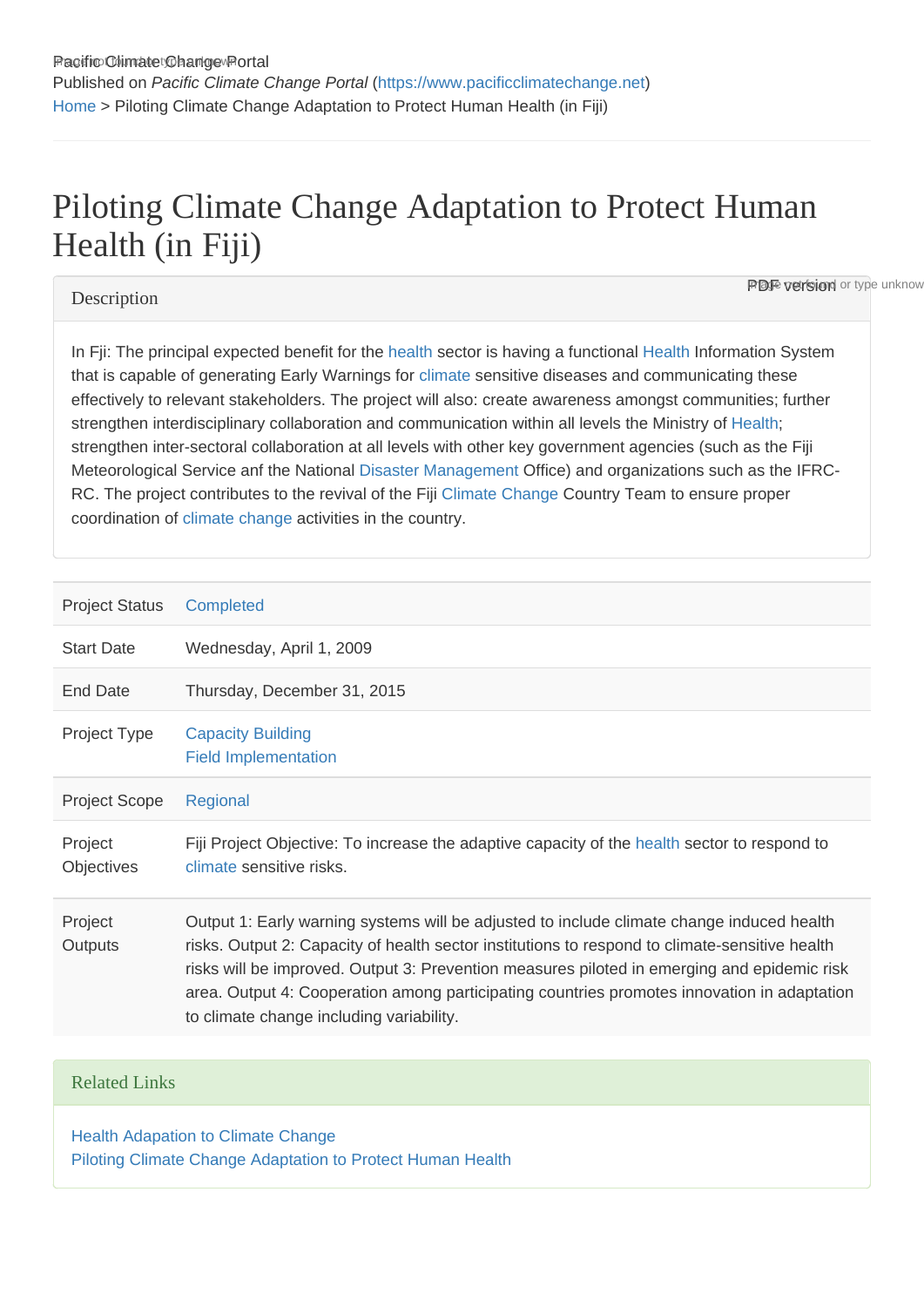# Piloting Climate Change Adaptation to Protect Human Health (in Fiji)

# **Description**

**PDF version** or type unknow

In Fji: The principal expected benefit for the [health](https://www.pacificclimatechange.net/glossary/letter_h#Health) sector is having a functional [Health](https://www.pacificclimatechange.net/glossary/letter_h#Health) Information System that is capable of generating Early Warnings for [climate](https://www.pacificclimatechange.net/glossary/letter_c#Climate) sensitive diseases and communicating these effectively to relevant stakeholders. The project will also: create awareness amongst communities; further strengthen interdisciplinary collaboration and communication within all levels the Ministry of [Health;](https://www.pacificclimatechange.net/glossary/letter_h#Health) strengthen inter-sectoral collaboration at all levels with other key government agencies (such as the Fiji Meteorological Service anf the National [Disaster Management](https://www.pacificclimatechange.net/glossary/letter_d#Disaster_Management) Office) and organizations such as the IFRC-RC. The project contributes to the revival of the Fiji [Climate Change](https://www.pacificclimatechange.net/glossary/letter_c#Climate_Change) Country Team to ensure proper coordination of [climate change](https://www.pacificclimatechange.net/glossary/letter_c#Climate_Change) activities in the country.

| <b>Project Status</b>        | Completed                                                                                                                                                                                                                                                                                                                                                                                                                             |
|------------------------------|---------------------------------------------------------------------------------------------------------------------------------------------------------------------------------------------------------------------------------------------------------------------------------------------------------------------------------------------------------------------------------------------------------------------------------------|
| <b>Start Date</b>            | Wednesday, April 1, 2009                                                                                                                                                                                                                                                                                                                                                                                                              |
| End Date                     | Thursday, December 31, 2015                                                                                                                                                                                                                                                                                                                                                                                                           |
| Project Type                 | <b>Capacity Building</b><br><b>Field Implementation</b>                                                                                                                                                                                                                                                                                                                                                                               |
| <b>Project Scope</b>         | Regional                                                                                                                                                                                                                                                                                                                                                                                                                              |
| Project<br><b>Objectives</b> | Fiji Project Objective: To increase the adaptive capacity of the health sector to respond to<br>climate sensitive risks.                                                                                                                                                                                                                                                                                                              |
| Project<br><b>Outputs</b>    | Output 1: Early warning systems will be adjusted to include climate change induced health<br>risks. Output 2: Capacity of health sector institutions to respond to climate-sensitive health<br>risks will be improved. Output 3: Prevention measures piloted in emerging and epidemic risk<br>area. Output 4: Cooperation among participating countries promotes innovation in adaptation<br>to climate change including variability. |

# Related Links

[Health Adapation to Climate Change](http://www.who.int/globalchange/climate/gefproject/en/index.html) [Piloting Climate Change Adaptation to Protect Human Health](http://www.undp-alm.org/projects/sccf-piloting-climate-change-adaptation-protect-human-health-fiji)